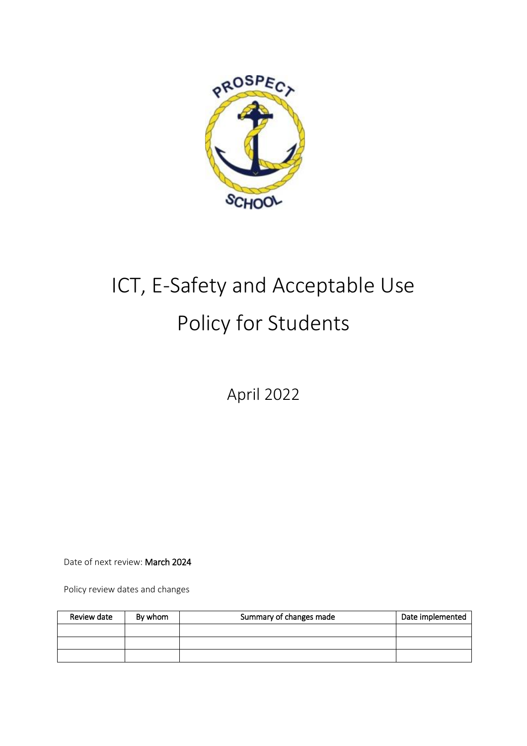

# ICT, E-Safety and Acceptable Use Policy for Students

April 2022

Date of next review: March 2024

Policy review dates and changes

| Review date | By whom | Summary of changes made | Date implemented |
|-------------|---------|-------------------------|------------------|
|             |         |                         |                  |
|             |         |                         |                  |
|             |         |                         |                  |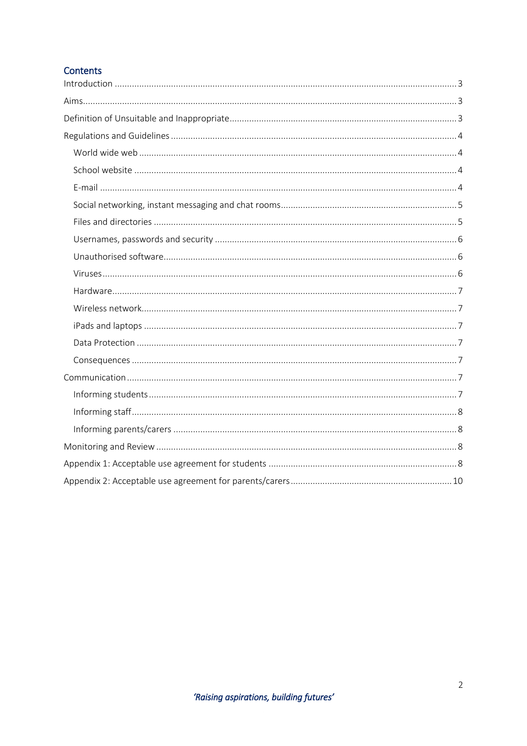# Contents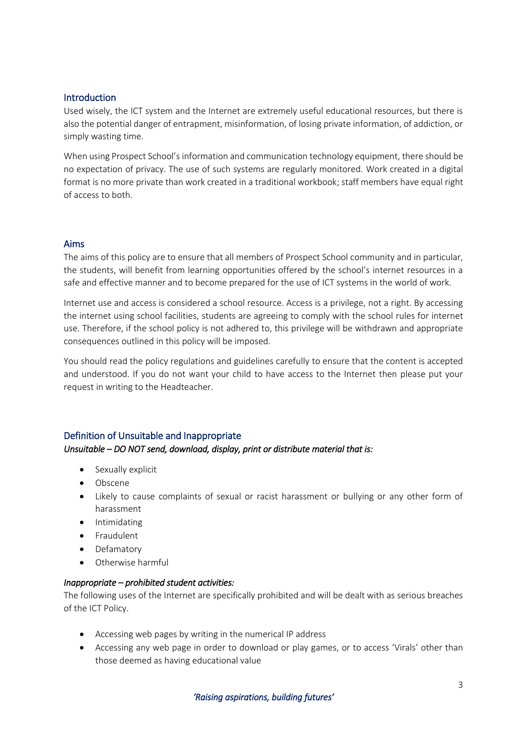## <span id="page-2-0"></span>Introduction

Used wisely, the ICT system and the Internet are extremely useful educational resources, but there is also the potential danger of entrapment, misinformation, of losing private information, of addiction, or simply wasting time.

When using Prospect School's information and communication technology equipment, there should be no expectation of privacy. The use of such systems are regularly monitored. Work created in a digital format is no more private than work created in a traditional workbook; staff members have equal right of access to both.

## <span id="page-2-1"></span>Aims

The aims of this policy are to ensure that all members of Prospect School community and in particular, the students, will benefit from learning opportunities offered by the school's internet resources in a safe and effective manner and to become prepared for the use of ICT systems in the world of work.

Internet use and access is considered a school resource. Access is a privilege, not a right. By accessing the internet using school facilities, students are agreeing to comply with the school rules for internet use. Therefore, if the school policy is not adhered to, this privilege will be withdrawn and appropriate consequences outlined in this policy will be imposed.

You should read the policy regulations and guidelines carefully to ensure that the content is accepted and understood. If you do not want your child to have access to the Internet then please put your request in writing to the Headteacher.

## <span id="page-2-2"></span>Definition of Unsuitable and Inappropriate

## *Unsuitable – DO NOT send, download, display, print or distribute material that is:*

- Sexually explicit
- Obscene
- Likely to cause complaints of sexual or racist harassment or bullying or any other form of harassment
- Intimidating
- Fraudulent
- Defamatory
- Otherwise harmful

#### *Inappropriate – prohibited student activities:*

The following uses of the Internet are specifically prohibited and will be dealt with as serious breaches of the ICT Policy.

- Accessing web pages by writing in the numerical IP address
- Accessing any web page in order to download or play games, or to access 'Virals' other than those deemed as having educational value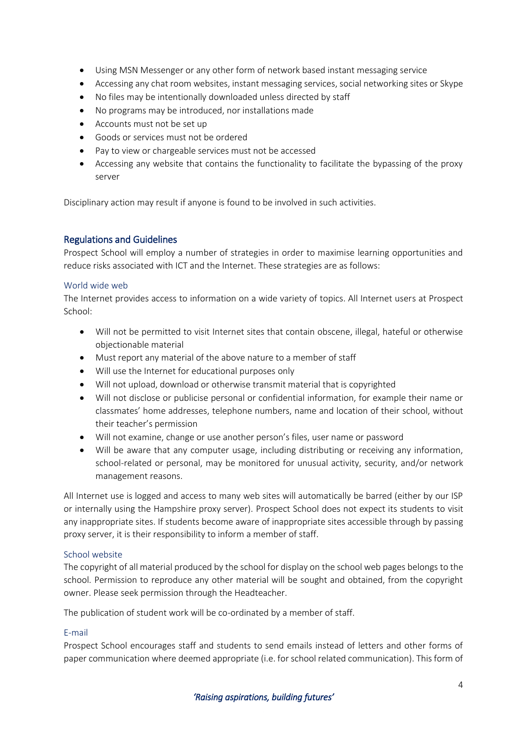- Using MSN Messenger or any other form of network based instant messaging service
- Accessing any chat room websites, instant messaging services, social networking sites or Skype
- No files may be intentionally downloaded unless directed by staff
- No programs may be introduced, nor installations made
- Accounts must not be set up
- Goods or services must not be ordered
- Pay to view or chargeable services must not be accessed
- Accessing any website that contains the functionality to facilitate the bypassing of the proxy server

Disciplinary action may result if anyone is found to be involved in such activities.

## <span id="page-3-0"></span>Regulations and Guidelines

Prospect School will employ a number of strategies in order to maximise learning opportunities and reduce risks associated with ICT and the Internet. These strategies are as follows:

## <span id="page-3-1"></span>World wide web

The Internet provides access to information on a wide variety of topics. All Internet users at Prospect School:

- Will not be permitted to visit Internet sites that contain obscene, illegal, hateful or otherwise objectionable material
- Must report any material of the above nature to a member of staff
- Will use the Internet for educational purposes only
- Will not upload, download or otherwise transmit material that is copyrighted
- Will not disclose or publicise personal or confidential information, for example their name or classmates' home addresses, telephone numbers, name and location of their school, without their teacher's permission
- Will not examine, change or use another person's files, user name or password
- Will be aware that any computer usage, including distributing or receiving any information, school-related or personal, may be monitored for unusual activity, security, and/or network management reasons.

All Internet use is logged and access to many web sites will automatically be barred (either by our ISP or internally using the Hampshire proxy server). Prospect School does not expect its students to visit any inappropriate sites. If students become aware of inappropriate sites accessible through by passing proxy server, it is their responsibility to inform a member of staff.

## <span id="page-3-2"></span>School website

The copyright of all material produced by the school for display on the school web pages belongs to the school. Permission to reproduce any other material will be sought and obtained, from the copyright owner. Please seek permission through the Headteacher.

The publication of student work will be co-ordinated by a member of staff.

## <span id="page-3-3"></span>E-mail

Prospect School encourages staff and students to send emails instead of letters and other forms of paper communication where deemed appropriate (i.e. for school related communication). This form of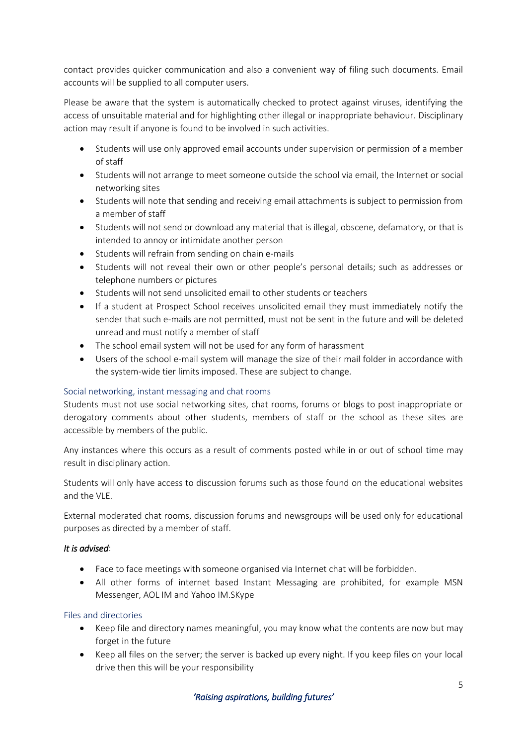contact provides quicker communication and also a convenient way of filing such documents. Email accounts will be supplied to all computer users.

Please be aware that the system is automatically checked to protect against viruses, identifying the access of unsuitable material and for highlighting other illegal or inappropriate behaviour. Disciplinary action may result if anyone is found to be involved in such activities.

- Students will use only approved email accounts under supervision or permission of a member of staff
- Students will not arrange to meet someone outside the school via email, the Internet or social networking sites
- Students will note that sending and receiving email attachments is subject to permission from a member of staff
- Students will not send or download any material that is illegal, obscene, defamatory, or that is intended to annoy or intimidate another person
- Students will refrain from sending on chain e-mails
- Students will not reveal their own or other people's personal details; such as addresses or telephone numbers or pictures
- Students will not send unsolicited email to other students or teachers
- If a student at Prospect School receives unsolicited email they must immediately notify the sender that such e-mails are not permitted, must not be sent in the future and will be deleted unread and must notify a member of staff
- The school email system will not be used for any form of harassment
- Users of the school e-mail system will manage the size of their mail folder in accordance with the system-wide tier limits imposed. These are subject to change.

## <span id="page-4-0"></span>Social networking, instant messaging and chat rooms

Students must not use social networking sites, chat rooms, forums or blogs to post inappropriate or derogatory comments about other students, members of staff or the school as these sites are accessible by members of the public.

Any instances where this occurs as a result of comments posted while in or out of school time may result in disciplinary action.

Students will only have access to discussion forums such as those found on the educational websites and the VLF

External moderated chat rooms, discussion forums and newsgroups will be used only for educational purposes as directed by a member of staff.

## *It is advised*:

- Face to face meetings with someone organised via Internet chat will be forbidden.
- All other forms of internet based Instant Messaging are prohibited, for example MSN Messenger, AOL IM and Yahoo IM.SKype

## <span id="page-4-1"></span>Files and directories

- Keep file and directory names meaningful, you may know what the contents are now but may forget in the future
- Keep all files on the server; the server is backed up every night. If you keep files on your local drive then this will be your responsibility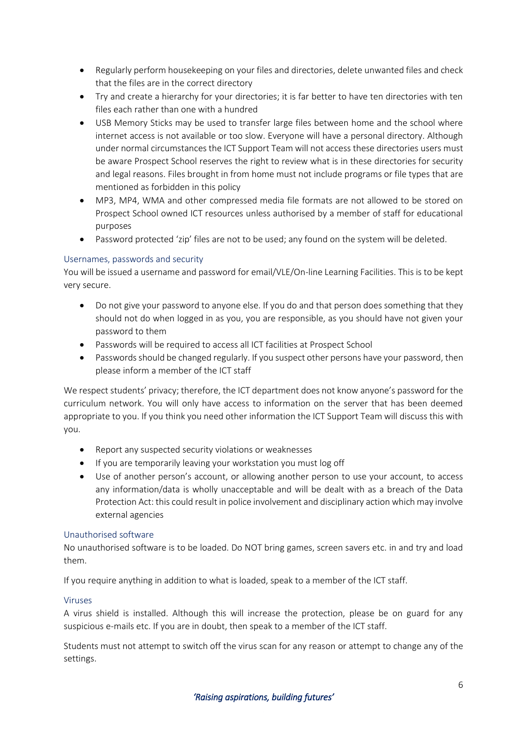- Regularly perform housekeeping on your files and directories, delete unwanted files and check that the files are in the correct directory
- Try and create a hierarchy for your directories; it is far better to have ten directories with ten files each rather than one with a hundred
- USB Memory Sticks may be used to transfer large files between home and the school where internet access is not available or too slow. Everyone will have a personal directory. Although under normal circumstances the ICT Support Team will not access these directories users must be aware Prospect School reserves the right to review what is in these directories for security and legal reasons. Files brought in from home must not include programs or file types that are mentioned as forbidden in this policy
- MP3, MP4, WMA and other compressed media file formats are not allowed to be stored on Prospect School owned ICT resources unless authorised by a member of staff for educational purposes
- Password protected 'zip' files are not to be used; any found on the system will be deleted.

## <span id="page-5-0"></span>Usernames, passwords and security

You will be issued a username and password for email/VLE/On-line Learning Facilities. This is to be kept very secure.

- Do not give your password to anyone else. If you do and that person does something that they should not do when logged in as you, you are responsible, as you should have not given your password to them
- Passwords will be required to access all ICT facilities at Prospect School
- Passwords should be changed regularly. If you suspect other persons have your password, then please inform a member of the ICT staff

We respect students' privacy; therefore, the ICT department does not know anyone's password for the curriculum network. You will only have access to information on the server that has been deemed appropriate to you. If you think you need other information the ICT Support Team will discuss this with you.

- Report any suspected security violations or weaknesses
- If you are temporarily leaving your workstation you must log off
- Use of another person's account, or allowing another person to use your account, to access any information/data is wholly unacceptable and will be dealt with as a breach of the Data Protection Act: this could result in police involvement and disciplinary action which may involve external agencies

## <span id="page-5-1"></span>Unauthorised software

No unauthorised software is to be loaded. Do NOT bring games, screen savers etc. in and try and load them.

If you require anything in addition to what is loaded, speak to a member of the ICT staff.

## <span id="page-5-2"></span>Viruses

A virus shield is installed. Although this will increase the protection, please be on guard for any suspicious e-mails etc. If you are in doubt, then speak to a member of the ICT staff.

Students must not attempt to switch off the virus scan for any reason or attempt to change any of the settings.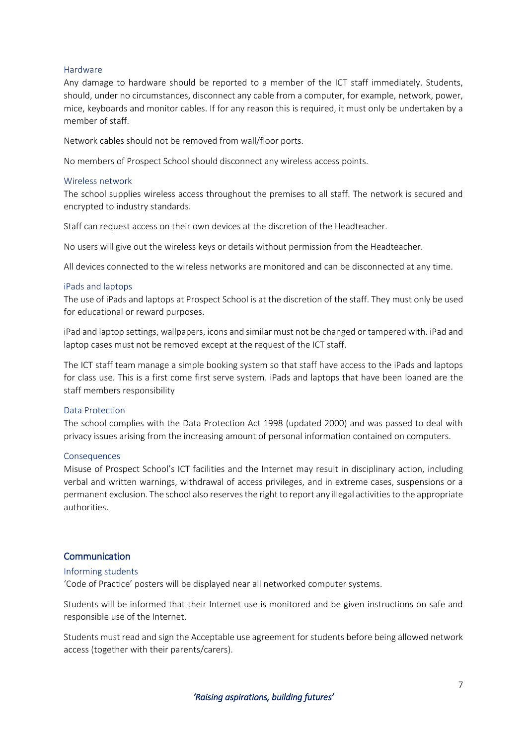#### <span id="page-6-0"></span>Hardware

Any damage to hardware should be reported to a member of the ICT staff immediately. Students, should, under no circumstances, disconnect any cable from a computer, for example, network, power, mice, keyboards and monitor cables. If for any reason this is required, it must only be undertaken by a member of staff.

Network cables should not be removed from wall/floor ports.

No members of Prospect School should disconnect any wireless access points.

#### <span id="page-6-1"></span>Wireless network

The school supplies wireless access throughout the premises to all staff. The network is secured and encrypted to industry standards.

Staff can request access on their own devices at the discretion of the Headteacher.

No users will give out the wireless keys or details without permission from the Headteacher.

All devices connected to the wireless networks are monitored and can be disconnected at any time.

#### <span id="page-6-2"></span>iPads and laptops

The use of iPads and laptops at Prospect School is at the discretion of the staff. They must only be used for educational or reward purposes.

iPad and laptop settings, wallpapers, icons and similar must not be changed or tampered with. iPad and laptop cases must not be removed except at the request of the ICT staff.

The ICT staff team manage a simple booking system so that staff have access to the iPads and laptops for class use. This is a first come first serve system. iPads and laptops that have been loaned are the staff members responsibility

#### <span id="page-6-3"></span>Data Protection

The school complies with the Data Protection Act 1998 (updated 2000) and was passed to deal with privacy issues arising from the increasing amount of personal information contained on computers.

#### <span id="page-6-4"></span>Consequences

Misuse of Prospect School's ICT facilities and the Internet may result in disciplinary action, including verbal and written warnings, withdrawal of access privileges, and in extreme cases, suspensions or a permanent exclusion. The school also reserves the right to report any illegal activities to the appropriate authorities.

#### <span id="page-6-5"></span>Communication

#### <span id="page-6-6"></span>Informing students

'Code of Practice' posters will be displayed near all networked computer systems.

Students will be informed that their Internet use is monitored and be given instructions on safe and responsible use of the Internet.

Students must read and sign the Acceptable use agreement for students before being allowed network access (together with their parents/carers).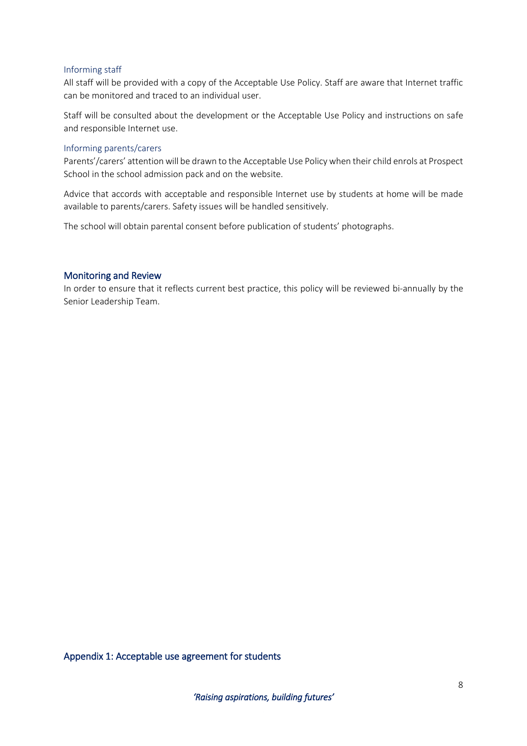#### <span id="page-7-0"></span>Informing staff

All staff will be provided with a copy of the Acceptable Use Policy. Staff are aware that Internet traffic can be monitored and traced to an individual user.

Staff will be consulted about the development or the Acceptable Use Policy and instructions on safe and responsible Internet use.

#### <span id="page-7-1"></span>Informing parents/carers

Parents'/carers' attention will be drawn to the Acceptable Use Policy when their child enrols at Prospect School in the school admission pack and on the website.

Advice that accords with acceptable and responsible Internet use by students at home will be made available to parents/carers. Safety issues will be handled sensitively.

The school will obtain parental consent before publication of students' photographs.

#### <span id="page-7-2"></span>Monitoring and Review

In order to ensure that it reflects current best practice, this policy will be reviewed bi-annually by the Senior Leadership Team.

## <span id="page-7-3"></span>Appendix 1: Acceptable use agreement for students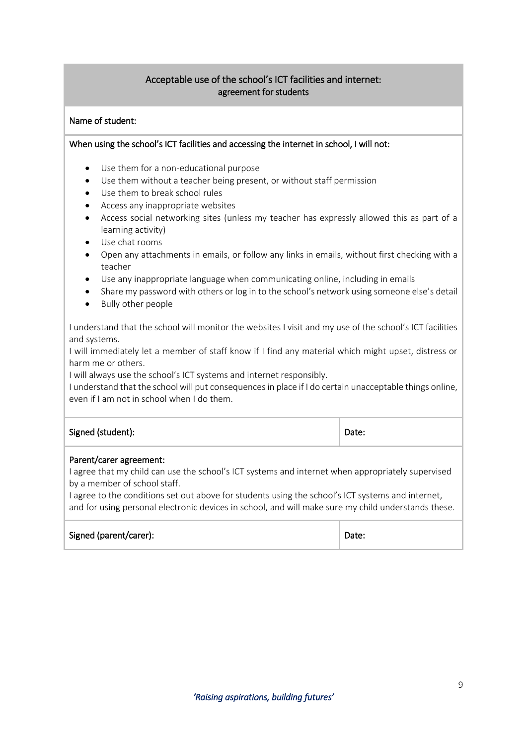# Acceptable use of the school's ICT facilities and internet: agreement for students

## Name of student:

## When using the school's ICT facilities and accessing the internet in school, I will not:

- Use them for a non-educational purpose
- Use them without a teacher being present, or without staff permission
- Use them to break school rules
- Access any inappropriate websites
- Access social networking sites (unless my teacher has expressly allowed this as part of a learning activity)
- Use chat rooms
- Open any attachments in emails, or follow any links in emails, without first checking with a teacher
- Use any inappropriate language when communicating online, including in emails
- Share my password with others or log in to the school's network using someone else's detail
- Bully other people

I understand that the school will monitor the websites I visit and my use of the school's ICT facilities and systems.

I will immediately let a member of staff know if I find any material which might upset, distress or harm me or others.

I will always use the school's ICT systems and internet responsibly.

I understand that the school will put consequences in place if I do certain unacceptable things online, even if I am not in school when I do them.

| Signed (student): | Date: |  |
|-------------------|-------|--|
|                   |       |  |

#### Parent/carer agreement:

I agree that my child can use the school's ICT systems and internet when appropriately supervised by a member of school staff.

I agree to the conditions set out above for students using the school's ICT systems and internet, and for using personal electronic devices in school, and will make sure my child understands these.

| Signed (parent/carer): | Date: |
|------------------------|-------|
|------------------------|-------|